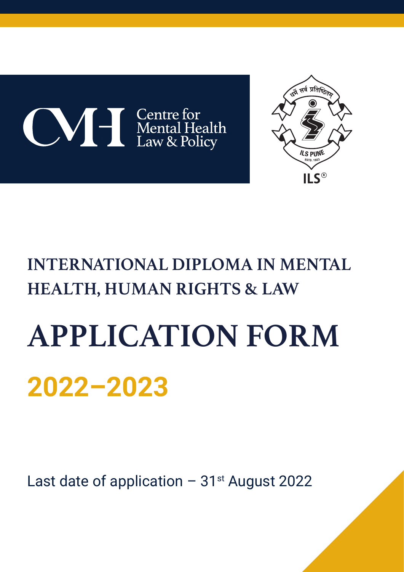



# **INTERNATIONAL DIPLOMA IN MENTAL HEALTH, HUMAN RIGHTS & LAW**

# **APPLICATION FORM 2022–2023**

Last date of application  $-31$ <sup>st</sup> August 2022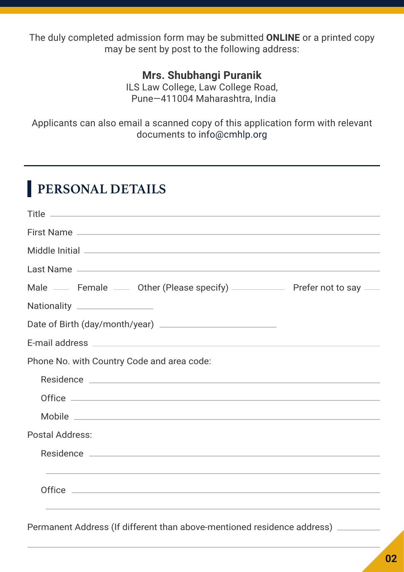The duly completed admission form may be submitted **ONLINE** or a printed copy may be sent by post to the following address:

#### **Mrs. Shubhangi Puranik**

ILS Law College, Law College Road, Pune—411004 Maharashtra, India

Applicants can also email a scanned copy of this application form with relevant documents to info@cmhlp.org

## **PERSONAL DETAILS**

| Male — Female — Other (Please specify) — Prefer not to say                       |
|----------------------------------------------------------------------------------|
| Nationality ________________                                                     |
|                                                                                  |
|                                                                                  |
| Phone No. with Country Code and area code:                                       |
|                                                                                  |
|                                                                                  |
|                                                                                  |
| <b>Postal Address:</b>                                                           |
|                                                                                  |
| ,我们也不能在这里的时候,我们也不能在这里的时候,我们也不能会在这里的时候,我们也不能会在这里的时候,我们也不能会在这里的时候,我们也不能会在这里的时候,我们也 |
|                                                                                  |
|                                                                                  |

Permanent Address (If different than above-mentioned residence address)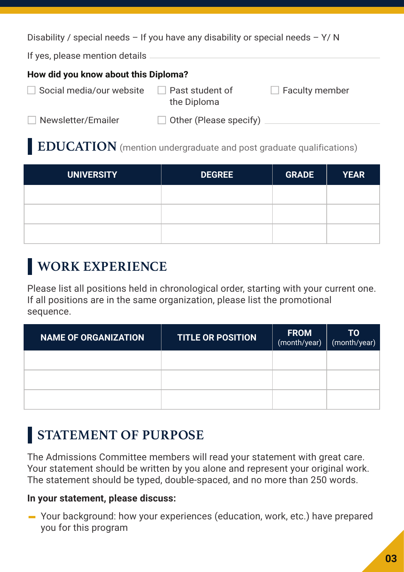Disability / special needs – If you have any disability or special needs –  $Y/N$ 

If yes, please mention details

#### **How did you know about this Diploma?**

| Social media/our website |  |
|--------------------------|--|
|--------------------------|--|

 $\Box$  Past student of the Diploma

 $\Box$  Faculty member

Newsletter/Emailer

 $\Box$  Other (Please specify)

#### **EDUCATION** (mention undergraduate and post graduate qualifications)

| <b>UNIVERSITY</b> | <b>DEGREE</b> | <b>GRADE</b> | <b>YEAR</b> |
|-------------------|---------------|--------------|-------------|
|                   |               |              |             |
|                   |               |              |             |
|                   |               |              |             |

## **WORK EXPERIENCE**

Please list all positions held in chronological order, starting with your current one. If all positions are in the same organization, please list the promotional sequence.

| <b>NAME OF ORGANIZATION</b> | <b>TITLE OR POSITION</b> | <b>FROM</b><br>(month/year) | <b>TO</b><br>(month/year) |
|-----------------------------|--------------------------|-----------------------------|---------------------------|
|                             |                          |                             |                           |
|                             |                          |                             |                           |
|                             |                          |                             |                           |

## **STATEMENT OF PURPOSE**

The Admissions Committee members will read your statement with great care. Your statement should be written by you alone and represent your original work. The statement should be typed, double-spaced, and no more than 250 words.

#### **In your statement, please discuss:**

Your background: how your experiences (education, work, etc.) have prepared you for this program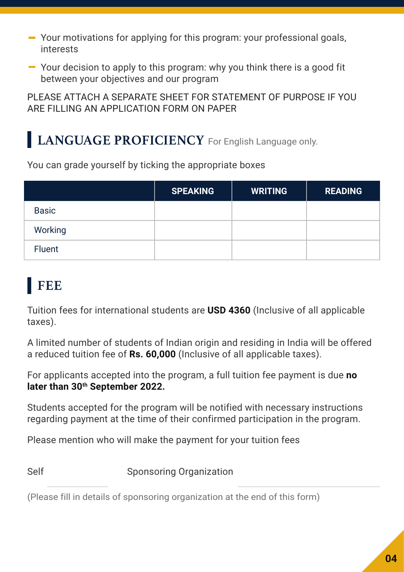- Your motivations for applying for this program: your professional goals, interests
- Your decision to apply to this program: why you think there is a good fit between your objectives and our program

PLEASE ATTACH A SEPARATE SHEET FOR STATEMENT OF PURPOSE IF YOU ARE FILLING AN APPLICATION FORM ON PAPER

## **LANGUAGE PROFICIENCY** For English Language only.

You can grade yourself by ticking the appropriate boxes

|               | <b>SPEAKING</b> | <b>WRITING</b> | <b>READING</b> |
|---------------|-----------------|----------------|----------------|
| <b>Basic</b>  |                 |                |                |
| Working       |                 |                |                |
| <b>Fluent</b> |                 |                |                |

## **FEE**

Tuition fees for international students are **USD 4360** (Inclusive of all applicable taxes).

A limited number of students of Indian origin and residing in India will be offered a reduced tuition fee of **Rs. 60,000** (Inclusive of all applicable taxes).

For applicants accepted into the program, a full tuition fee payment is due **no later than 30th September 2022.**

Students accepted for the program will be notified with necessary instructions regarding payment at the time of their confirmed participation in the program.

Please mention who will make the payment for your tuition fees

Self Sponsoring Organization

(Please fill in details of sponsoring organization at the end of this form)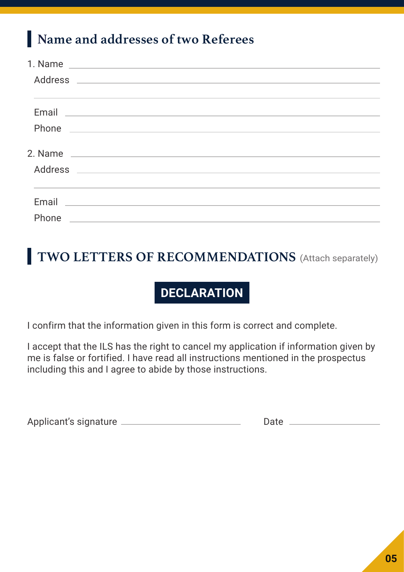## **Name and addresses of two Referees**

| ,我们也不能会有什么。""我们的人,我们也不能会有什么?""我们的人,我们也不能会有什么?""我们的人,我们也不能会有什么?""我们的人,我们也不能会有什么?""                                     |
|-----------------------------------------------------------------------------------------------------------------------|
|                                                                                                                       |
|                                                                                                                       |
|                                                                                                                       |
|                                                                                                                       |
|                                                                                                                       |
|                                                                                                                       |
| <u> 1989 - Andrea Stadt Britain, amerikan bestean ingilang pada sebagai pada sebagai pada sebagai pada sebagai pa</u> |
| <u> 1989 - Jan Samuel Barbara, margaret e popularista e popularista e popularista e popularista e popularista e</u>   |
|                                                                                                                       |

## **TWO LETTERS OF RECOMMENDATIONS** (Attach separately)

## **DECLARATION**

I confirm that the information given in this form is correct and complete.

I accept that the ILS has the right to cancel my application if information given by me is false or fortified. I have read all instructions mentioned in the prospectus including this and I agree to abide by those instructions.

Applicant's signature Date